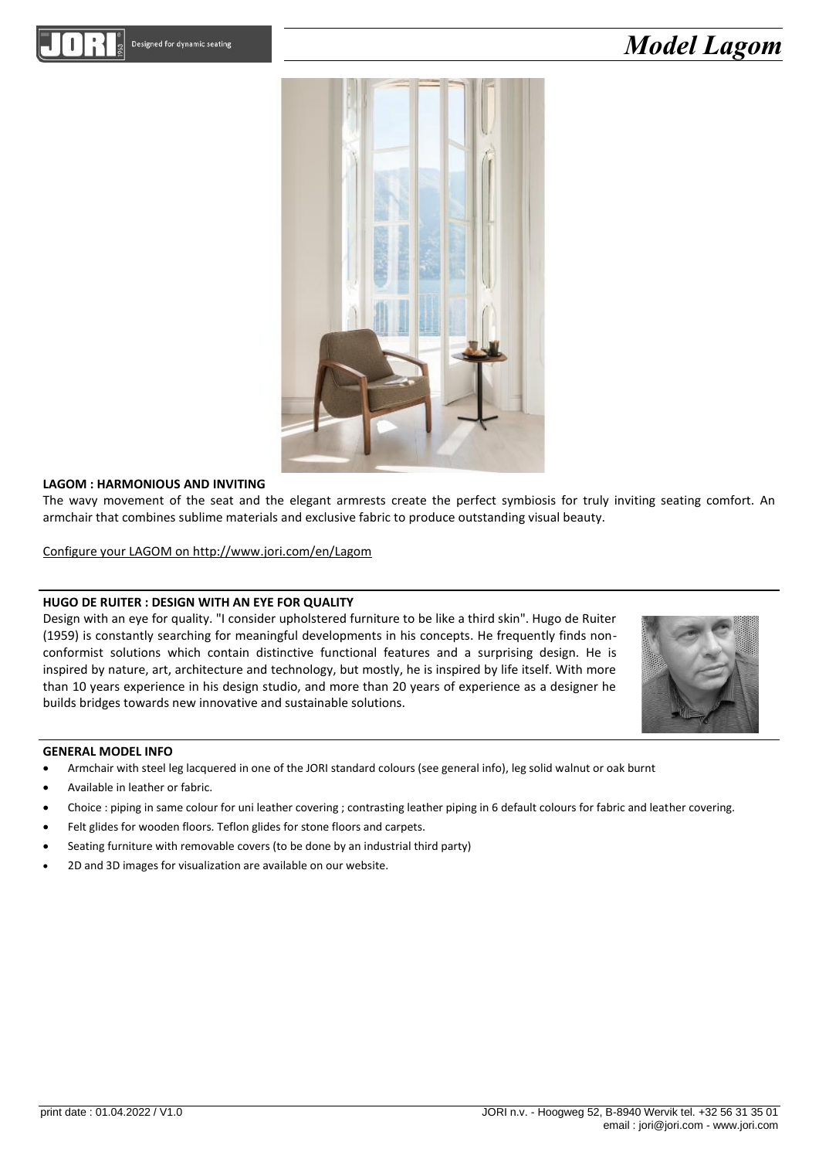## *Model Lagom*



#### **LAGOM : HARMONIOUS AND INVITING**

The wavy movement of the seat and the elegant armrests create the perfect symbiosis for truly inviting seating comfort. An armchair that combines sublime materials and exclusive fabric to produce outstanding visual beauty.

Configure your LAGOM on http://www.jori.com/en/Lagom

#### **HUGO DE RUITER : DESIGN WITH AN EYE FOR QUALITY**

Design with an eye for quality. "I consider upholstered furniture to be like a third skin". Hugo de Ruiter (1959) is constantly searching for meaningful developments in his concepts. He frequently finds nonconformist solutions which contain distinctive functional features and a surprising design. He is inspired by nature, art, architecture and technology, but mostly, he is inspired by life itself. With more than 10 years experience in his design studio, and more than 20 years of experience as a designer he builds bridges towards new innovative and sustainable solutions.



#### **GENERAL MODEL INFO**

- Armchair with steel leg lacquered in one of the JORI standard colours (see general info), leg solid walnut or oak burnt
- Available in leather or fabric.
- Choice : piping in same colour for uni leather covering ; contrasting leather piping in 6 default colours for fabric and leather covering.
- Felt glides for wooden floors. Teflon glides for stone floors and carpets.
- Seating furniture with removable covers (to be done by an industrial third party)
- 2D and 3D images for visualization are available on our website.